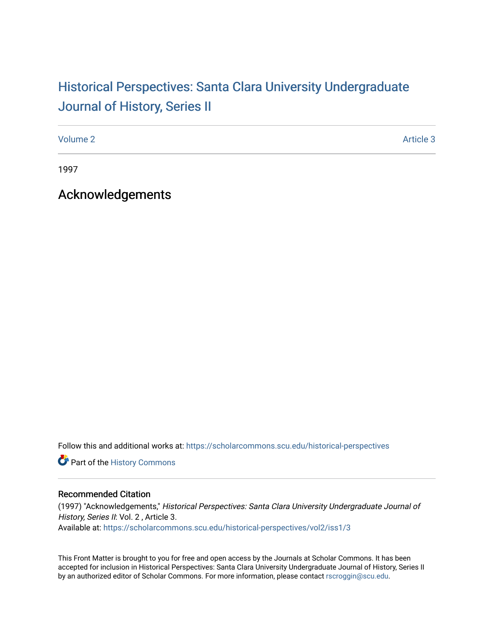## Historical Perspectiv[es: Santa Clara University Under](https://scholarcommons.scu.edu/historical-perspectives)graduate [Journal of History, Series II](https://scholarcommons.scu.edu/historical-perspectives)

[Volume 2](https://scholarcommons.scu.edu/historical-perspectives/vol2) Article 3

1997

Acknowledgements

Follow this and additional works at: [https://scholarcommons.scu.edu/historical-perspectives](https://scholarcommons.scu.edu/historical-perspectives?utm_source=scholarcommons.scu.edu%2Fhistorical-perspectives%2Fvol2%2Fiss1%2F3&utm_medium=PDF&utm_campaign=PDFCoverPages) 

Part of the [History Commons](http://network.bepress.com/hgg/discipline/489?utm_source=scholarcommons.scu.edu%2Fhistorical-perspectives%2Fvol2%2Fiss1%2F3&utm_medium=PDF&utm_campaign=PDFCoverPages) 

## Recommended Citation

(1997) "Acknowledgements," Historical Perspectives: Santa Clara University Undergraduate Journal of History, Series II: Vol. 2, Article 3. Available at: [https://scholarcommons.scu.edu/historical-perspectives/vol2/iss1/3](https://scholarcommons.scu.edu/historical-perspectives/vol2/iss1/3?utm_source=scholarcommons.scu.edu%2Fhistorical-perspectives%2Fvol2%2Fiss1%2F3&utm_medium=PDF&utm_campaign=PDFCoverPages) 

This Front Matter is brought to you for free and open access by the Journals at Scholar Commons. It has been accepted for inclusion in Historical Perspectives: Santa Clara University Undergraduate Journal of History, Series II by an authorized editor of Scholar Commons. For more information, please contact [rscroggin@scu.edu.](mailto:rscroggin@scu.edu)